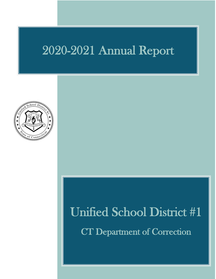## 2020-2021 Annual Report



# Unified School District #1

CT Department of Correction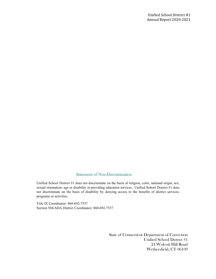#### Statement of Non-Discrimination

 Unified School District #1 does not discriminate on the basis of religion, color, national origin, sex, sexual orientation, age or disability in providing education services. Unified School District #1 does not discriminate on the basis of disability by denying access to the benefits of district services, programs or activities.

Title IX Coordinator: 860-692-7537 Section 504/ADA District Coordinator: 860-692-7537

> State of Connecticut Department of Correction Unified School District #1 24 Wolcott Hill Road Wethersfield, CT 06109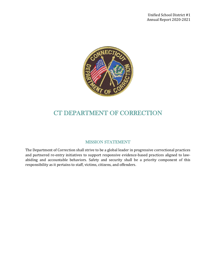

### CT DEPARTMENT OF CORRECTION

#### MISSION STATEMENT

The Department of Correction shall strive to be a global leader in progressive correctional practices and partnered re-entry initiatives to support responsive evidence-based practices aligned to lawabiding and accountable behaviors. Safety and security shall be a priority component of this responsibility as it pertains to staff, victims, citizens, and offenders.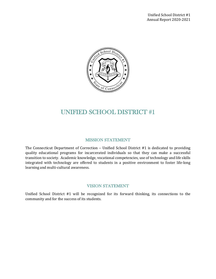

## UNIFIED SCHOOL DISTRICT #1

#### MISSION STATEMENT

The Connecticut Department of Correction – Unified School District #1 is dedicated to providing quality educational programs for incarcerated individuals so that they can make a successful transition to society. Academic knowledge, vocational competencies, use of technology and life skills integrated with technology are offered to students in a positive environment to foster life-long learning and multi-cultural awareness.

#### VISION STATEMENT

Unified School District #1 will be recognized for its forward thinking, its connections to the community and for the success of its students.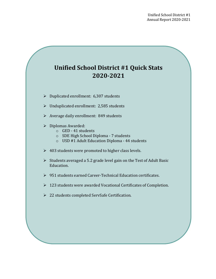## **Unified School District #1 Quick Stats 2020-2021**

- $\triangleright$  Duplicated enrollment: 6,307 students
- $\triangleright$  Unduplicated enrollment: 2,585 students
- $\triangleright$  Average daily enrollment: 849 students
- $\triangleright$  Diplomas Awarded:
	- o GED 41 students
	- o SDE High School Diploma 7 students
	- o USD #1 Adult Education Diploma 44 students
- $\geq 403$  students were promoted to higher class levels.
- $\triangleright$  Students averaged a 5.2 grade level gain on the Test of Adult Basic Education.
- $\geq 951$  students earned Career-Technical Education certificates.
- $\geq 123$  students were awarded Vocational Certificates of Completion.
- 22 students completed ServSafe Certification.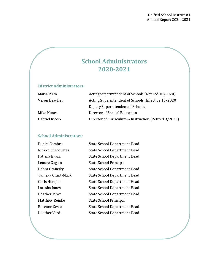## **School Administrators 2020-2021**

#### **District Administrators:**

| Maria Pirro    | Acting Superintendent of Schools (Retired 10/2020)    |
|----------------|-------------------------------------------------------|
| Veron Beaulieu | Acting Superintendent of Schools (Effective 10/2020)  |
|                | Deputy Superintendent of Schools                      |
| Mike Nunes     | Director of Special Education                         |
| Gabriel Riccio | Director of Curriculum & Instruction (Retired 9/2020) |

#### **School Administrators:**

| Daniel Cambra         | <b>State School Department Head</b> |
|-----------------------|-------------------------------------|
| Nickko Checovetes     | <b>State School Department Head</b> |
| Patrina Evans         | <b>State School Department Head</b> |
| Lenore Gagain         | State School Principal              |
| Debra Grainsky        | <b>State School Department Head</b> |
| Tameka Grant-Mack     | <b>State School Department Head</b> |
| Chris Hempel          | <b>State School Department Head</b> |
| Latesha Jones         | <b>State School Department Head</b> |
| <b>Heather Mroz</b>   | <b>State School Department Head</b> |
| <b>Matthew Reinke</b> | State School Principal              |
| Roseann Sessa         | <b>State School Department Head</b> |
| Heather Verdi         | <b>State School Department Head</b> |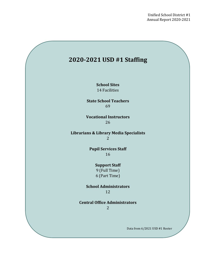

**School Sites** 14 Facilities

**State School Teachers** 69

**Vocational Instructors** 26

**Librarians & Library Media Specialists** 2

> **Pupil Services Staff** 16

> > **Support Staff** 9 (Full Time) 6 (Part Time)

**School Administrators** 12

**Central Office Administrators** 2

Data from 6/2021 USD #1 Roster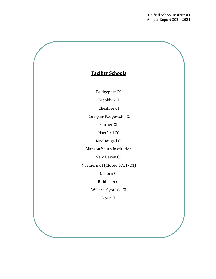

l.

Bridgeport CC

Brooklyn CI

Cheshire CI

Corrigan-Radgowski CC

Garner CI

Hartford CC

MacDougall CI

Manson Youth Institution

New Haven CC

Northern CI (Closed 6/11/21)

Osborn CI

Robinson CI

Willard-Cybulski CI

York CI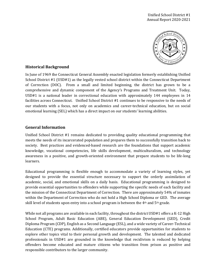

#### **Historical Background**

In June of 1969 the Connecticut General Assembly enacted legislation formerly establishing Unified School District #1 (USD#1) as the legally vested school district within the Connecticut Department of Correction (DOC). From a small and limited beginning, the district has grown to be a comprehensive and dynamic component of the Agency's Programs and Treatment Unit. Today, USD#1 is a national leader in correctional education with approximately 144 employees in 14 facilities across Connecticut. Unified School District #1 continues to be responsive to the needs of our students with a focus, not only on academics and career-technical education, but on social emotional learning (SEL) which has a direct impact on our students' learning abilities.

#### **General Information**

Unified School District #1 remains dedicated to providing quality educational programming that meets the needs of its incarcerated population and prepares them to successfully transition back to society. Best practices and evidenced-based research are the foundations that support academic knowledge, vocational competencies, life skills development, multiculturalism, and technology awareness in a positive, and growth-oriented environment that prepare students to be life-long learners.

Educational programming is flexible enough to accommodate a variety of learning styles, yet designed to provide the essential structure necessary to support the orderly assimilation of academic, social, and emotional skills on a daily basis. Educational programming is designed to provide essential opportunities to offenders while supporting the specific needs of each facility and the mission of the Connecticut Department of Correction. There are approximately 54% of inmates within the Department of Correction who do not hold a High School Diploma or GED. The average skill level of students upon entry into a school program is between the 4th and 5th grade.

While not all programs are available in each facility, throughout the district USD#1 offers a K-12 High School Program, Adult Basic Education (ABE), General Education Development (GED), Credit Diploma Program (CDP), English as a Second Language (ESL), and a wide variety of Career-Technical Education (CTE) programs. Additionally, certified educators provide opportunities for students to explore other topics vital to their personal growth and development. The talented and dedicated professionals in USD#1 are grounded in the knowledge that recidivism is reduced by helping offenders become educated and mature citizens who transition from prison as positive and responsible contributors to the larger community.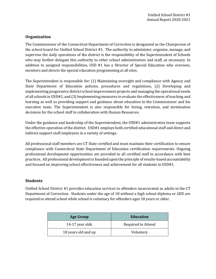#### **Organization**

The Commissioner of the Connecticut Department of Correction is designated as the Chairperson of the school board for Unified School District #1. The authority to administer, organize, manage, and supervise the daily operations of the district is the responsibility of the Superintendent of Schools who may further delegate this authority to other school administrators and staff, as necessary. In addition to assigned responsibilities, USD #1 has a Director of Special Education who oversees, monitors and directs the special education programming at all sites.

The Superintendent is responsible for: (1) Maintaining oversight and compliance with Agency and State Department of Education policies, procedures and regulations, (2) Developing and implementing progressive district school improvement projects and managing the operational needs of all schools in USD#1, and (3) Implementing measures to evaluate the effectiveness of teaching and learning as well as providing support and guidance about education to the Commissioner and his executive team. The Superintendent is also responsible for hiring, retention, and termination decisions for the school staff in collaboration with Human Resources.

Under the guidance and leadership of the Superintendent, the USD#1 administrative team supports the effective operation of the district. USD#1 employs both certified educational staff and direct and indirect support staff employees in a variety of settings.

All professional staff members are CT State certified and must maintain their certification to ensure compliance with Connecticut State Department of Education certification requirements. Ongoing professional development opportunities are provided to all certified staff in accordance with best practices. All professional development is founded upon the principle of results-based accountability and focused on improving school effectiveness and achievement for all students in USD#1.

#### **Students**

Unified School District #1 provides education services to offenders incarcerated as adults in the CT Department of Correction. Students under the age of 18 without a high school diploma or GED are required to attend school while school is voluntary for offenders ages 18 years or older.

| <b>Age Group</b>    | <b>Education</b>   |  |
|---------------------|--------------------|--|
| 14-17 year olds     | Required to Attend |  |
| 18 years old and up | Voluntary          |  |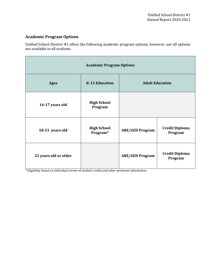#### **Academic Program Options**

Unified School District #1 offers the following academic program options; however, not all options are available to all students.

| <b>Academic Program Options</b> |                                |                        |                                  |  |  |
|---------------------------------|--------------------------------|------------------------|----------------------------------|--|--|
| <b>Ages</b>                     | <b>K-12 Education</b>          | <b>Adult Education</b> |                                  |  |  |
| 14-17 years old                 | <b>High School</b><br>Program  |                        |                                  |  |  |
| 18-21 years old                 | <b>High School</b><br>Program* | <b>ABE/GED Program</b> | <b>Credit Diploma</b><br>Program |  |  |
| 22 years old or older           |                                | <b>ABE/GED Program</b> | <b>Credit Diploma</b><br>Program |  |  |

\* Eligibility based on individual review of student credits and other pertinent information.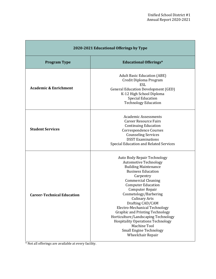| 2020-2021 Educational Offerings by Type |                                                                                                                                                                                                                                                                                                                                                                                                                                                                                                                                            |  |
|-----------------------------------------|--------------------------------------------------------------------------------------------------------------------------------------------------------------------------------------------------------------------------------------------------------------------------------------------------------------------------------------------------------------------------------------------------------------------------------------------------------------------------------------------------------------------------------------------|--|
| <b>Program Type</b>                     | <b>Educational Offerings*</b>                                                                                                                                                                                                                                                                                                                                                                                                                                                                                                              |  |
| <b>Academic &amp; Enrichment</b>        | <b>Adult Basic Education (ABE)</b><br>Credit Diploma Program<br><b>ESL</b><br><b>General Education Development (GED)</b><br>K-12 High School Diploma<br><b>Special Education</b><br><b>Technology Education</b>                                                                                                                                                                                                                                                                                                                            |  |
| <b>Student Services</b>                 | <b>Academic Assessments</b><br><b>Career Resource Fairs</b><br><b>Continuing Education</b><br><b>Correspondence Courses</b><br><b>Counseling Services</b><br><b>DSST Examinations</b><br><b>Special Education and Related Services</b>                                                                                                                                                                                                                                                                                                     |  |
| <b>Career-Technical Education</b>       | <b>Auto Body Repair Technology</b><br><b>Automotive Technology</b><br><b>Building Maintenance</b><br><b>Business Education</b><br>Carpentry<br><b>Commercial Cleaning</b><br><b>Computer Education</b><br><b>Computer Repair</b><br>Cosmetology/Barbering<br><b>Culinary Arts</b><br>Drafting CAD/CAM<br>Electro-Mechanical Technology<br><b>Graphic and Printing Technology</b><br>Horticulture/Landscaping Technology<br><b>Hospitality Operations Technology</b><br>Machine Tool<br><b>Small Engine Technology</b><br>Wheelchair Repair |  |

\* Not all offerings are available at every facility.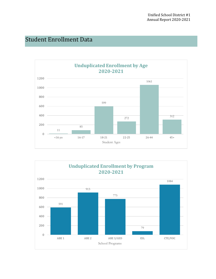## Student Enrollment Data



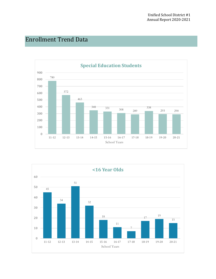## Enrollment Trend Data



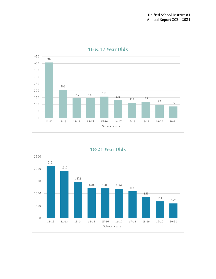

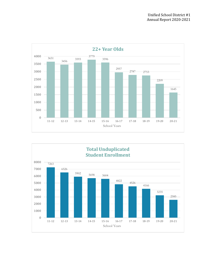

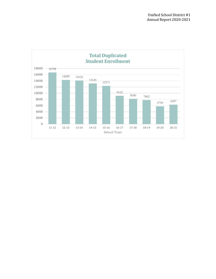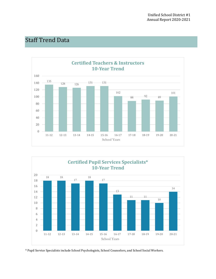## Staff Trend Data





\* Pupil Service Specialists include School Psychologists, School Counselors, and School Social Workers.